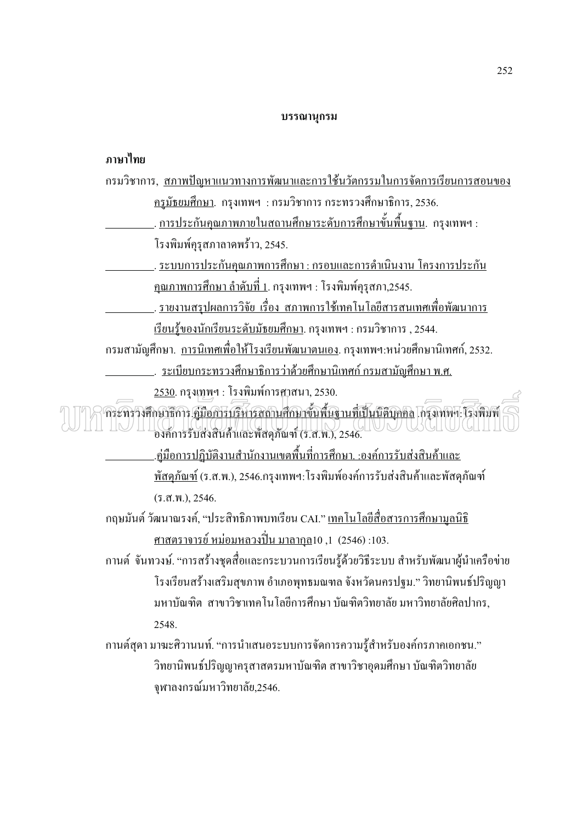### บรรณานุกรม

## ภาษาไทย

| <u>กรมวิชาการ, สภาพปัญหาแนวทางการพัฒนาและการใช้นวัตกรรมในการจัดการเรียนการสอนของ</u>                                                                |
|-----------------------------------------------------------------------------------------------------------------------------------------------------|
| <u> ครูมัธยมศึกษา</u> . กรุงเทพฯ : กรมวิชาการ กระทรวงศึกษาธิการ, 2536.                                                                              |
| <u>การประกันคุณภาพภายในสถานศึกษาระดับการศึกษาขั้นพื้นฐาน</u> . กรุงเทพฯ :                                                                           |
| โรงพิมพ์คุรุสภาลาดพร้าว, 2545.                                                                                                                      |
| <u>. ระบบการประกันคุณภาพการศึกษา : กรอบและการดำเนินงาน โครงการประกัน</u>                                                                            |
| <u>้คุณภาพการศึกษา ลำดับที่ 1</u> . กรุงเทพฯ : โรงพิมพ์คุรุสภา,2545.                                                                                |
| <u>รายงานสรุปผลการวิจัย เรื่อง สภาพการใช้เทคโนโลยีสารสนเทศเพื่อพัฒนาการ</u>                                                                         |
| <u>เรียนรู้ของนักเรียนระดับมัธยมศึกษา</u> . กรุงเทพฯ : กรมวิชาการ , 2544.                                                                           |
| ึกรมสามัญศึกษา. <u>การนิเทศเพื่อให้โรงเรียนพัฒนาตนเอง</u> . กรุงเทพฯ:หน่วยศึกษานิเทศก์, 2532.                                                       |
| <u>ระเบียบกระทรวงศึกษาธิการว่าด้วยศึกษานิเทศก์ กรมสามัญศึกษา พ.ศ.</u>                                                                               |
| 2530. กรุงเทพฯ : โรงพิมพ์การศาสนา, 2530.                                                                                                            |
| กระทรวงศึกษาธิการ <u>คู่มือการบริหารลดานศึกษาขั้นพื้นฐานที่เป็นนิติบุคคล</u> โกรงเทพฯ: โรงพิมพ์<br>องค์การรับส่งสินค้าและพัสดุภัณฑ์ (ร.ส.พ.), 2546. |
| <u>.คู่มือการปฏิบัติงานสำนักงานเขตพื้นที่การศึกษา. :องค์การรับส่งสินค้าและ</u>                                                                      |
| <u>พัสคุภัณฑ์</u> (ร.ส.พ.), 2546.กรุงเทพฯ: โรงพิมพ์องค์การรับส่งสินค้าและพัสคุภัณฑ์                                                                 |
| (5.7.1, 0.1, 2546.                                                                                                                                  |
| ึกฤษมันต์ วัฒนาณรงค์, "ประสิทธิภาพบทเรียน CAI." <u>เทคโนโลยีสื่อสารการศึกษามูลนิธิ</u>                                                              |
| <u>ศาสตราจารย์ หม่อมหลวงปิ่น มาลากุล</u> 10 ,1 (2546):103.                                                                                          |
| กานต์  จันทวงษ์. "การสร้างชุดสื่อและกระบวนการเรียนรู้ด้วยวิธีระบบ สำหรับพัฒนาผู้นำเครือข่าย                                                         |
| โรงเรียนสร้างเสริมสุขภาพ อำเภอพุทธมณฑล จังหวัดนครปฐม." วิทยานิพนธ์ปริญญา                                                                            |
| ้มหาบัณฑิต  สาขาวิชาเทคโนโลยีการศึกษา บัณฑิตวิทยาลัย มหาวิทยาลัยศิลปากร,                                                                            |
| 2548.                                                                                                                                               |
| ึกานต์สุดา มาฆะศิวานนท์. "การนำเสนอระบบการจัดการความรู้สำหรับองค์กรภาคเอกชน."                                                                       |
| ีวิทยานิพนธ์ปริญญาครุสาสตรมหาบัณฑิต สาขาวิชาอุดมศึกษา บัณฑิตวิทยาลัย                                                                                |
| จุฬาลงกรณ์มหาวิทยาลัย,2546.                                                                                                                         |
|                                                                                                                                                     |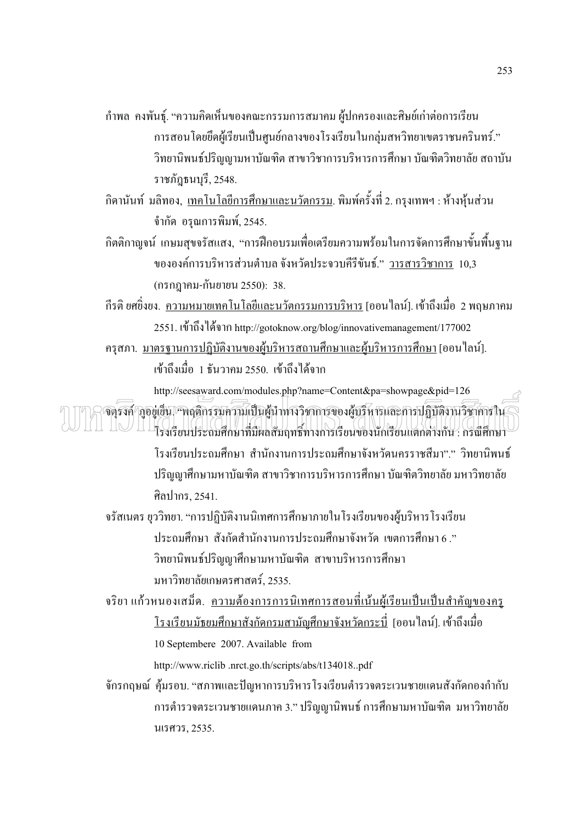- กำพล คงพันธุ์. "ความคิดเห็นของคณะกรรมการสมาคม ผู้ปกครองและศิษย์เก่าต่อการเรียน การสอนโดยยึดผู้เรียนเป็นศูนย์กลางของโรงเรียนในกลุ่มสหวิทยาเขตราชนครินทร์." วิทยานิพนธ์ปริญญามหาบัณฑิต สาขาวิชาการบริหารการศึกษา บัณฑิตวิทยาลัย สถาบัน ราชภัฎธนบุรี, 2548.
- กิดานันท์ มลิทอง, <u>เทคโนโลยีการศึกษาและนวัตกรรม</u>. พิมพ์ครั้งที่ 2. กรุงเทพฯ : ห้างหุ้นส่วน ֖֖֖֖֚֚֚֚֚֚֡֝֬֝֝<br>֧֚֚֝<br>֚֚֚֞ จำกัด อรุณการพิมพ์, 2545.
- กิตติกาญจน์ เกษมสุขจรัสแสง, "การฝึกอบรมเพื่อเตรียมความพร้อมในการจัดการศึกษาขั้นพื้นฐาน ĺ ขององค์การบริหารส่วนตำบล จังหวัดประจวบคีรีขันธ์." <u>วารสารวิชาการ</u> 10,3 (กรกฎาคม-กันยายน 2550): 38.
- กีรดิ ยศยิ่งยง. <u>ความหมายเทคโนโลยีและนวัตกรรมการบริหาร</u> [ออน<sup>"</sup>ไลน์]. เข้าถึงเมื่อ 2 พฤษภาคม 2551. เข้าถึงใด้จาก http://gotoknow.org/blog/innovativemanagement/177002
- ครุสภา. <u>มาตรฐานการปฏิบัติงานของผู้บริหารสถานศึกษาและผู้บริหารการศึกษา</u> [ออนไลน์]. เข้าถึงเมื่อ 1 ธันวาคม 2550. เข้าถึงได้จาก  $\ddot{\phantom{a}}$

http://seesaward.com/modules.php?name=Content&pa=showpage&pid=126

จตุรงค์ ภูอยู่เข็น "พฤติกรรมความเป็นผู้นำทางวิชาการของผู้บริหารและการปฏิบัติงานวิชาการใน  $\pi$ m $\approx$   $\pi$   $\mu^2$ งเรียนประถมศึกษาที่มีผลสัมฤทธิ์ทางการเรียนของนักเรียนแตกต่างกัน : กรณีศึกษา .<br>. โรงเรียนประถมศึกษา สำนักงานการประถมศึกษาจังหวัดนครราชสีมา"." วิทยานิพนธ์ ปริญญาศึกษามหาบัณฑิต สาขาวิชาการบริหารการศึกษา บัณฑิตวิทยาลัย มหาวิทยาลัย ศิลปากร, 2541.

จรัสเนตร ยุววิทยา. "การปฏิบัติงานนิเทศการศึกษาภายในโรงเรียนของผู้บริหารโรงเรียน ประถมศึกษา สังกัดสำนักงานการประถมศึกษาจังหวัด เขตการศึกษา 6 ." วิทยานิพนธ์ปริญญาศึกษามหาบัณฑิต สาขาบริหารการศึกษา มหาวิทยาลัยเกษตรศาสตร์, 2535.

จริยา แก้วหนองเสม็ด. <u>ความต้องการการนิเทศการสอนที่เน้นผู้เรียนเป็นเป็นสำคัญของครู</u>  $\overline{a}$ ׇ֦ׅ֘ <u>โรงเรียนมัธยมศึกษาสังกัดกรมสามัญศึกษาจังหวัดกระบี่</u> [ออนไลน์]. เข้าถึงเมื่อ 10 Septembere 2007. Available from http://www.riclib .nrct.go.th/scripts/abs/t134018..pdf

จักรกฤษณ์ คุ้มรอบ. "สภาพและปัญหาการบริหารโรงเรียนตำรวจตระเวนชายแคนสังกัดกองกำกับ การตำรวจตระเวนชายแดนภาค 3." ปริญญานิพนธ์ การศึกษามหาบัณฑิต มหาวิทยาลัย นเรศวร, 2535.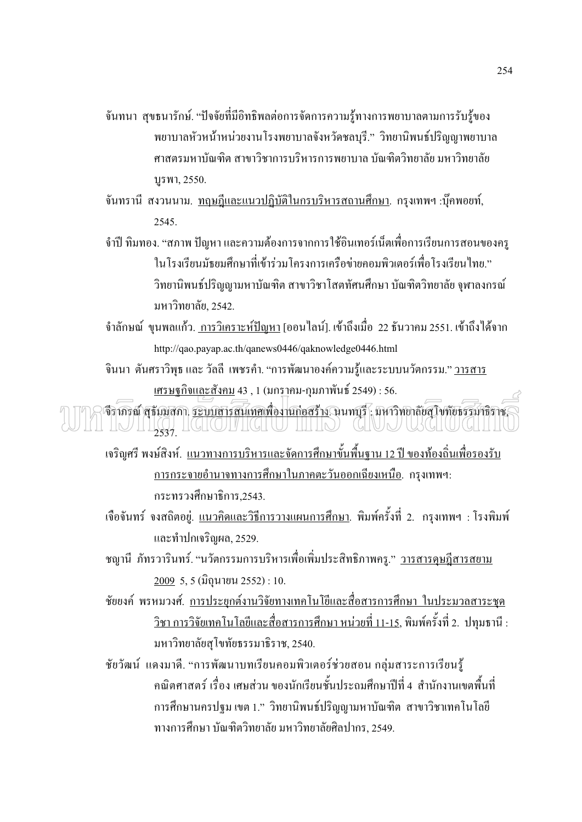- ้จันทนา สุขธนารักษ์. "ปัจจัยที่มีอิทธิพลต่อการจัดการความรู้ทางการพยาบาลตามการรับรู้ของ พยาบาลหัวหน้าหน่วยงานโรงพยาบาลจังหวัดชลบุรี." วิทยานิพนธ์ปริญญาพยาบาล ศาสตรมหาบัณฑิต สาขาวิชาการบริหารการพยาบาล บัณฑิตวิทยาลัย มหาวิทยาลัย บูรพา, 2550.
- ้จันทรานี สงวนนาม. <u>ทฤษฎีและแนวปฎิบัติในกรบริหารสถานศึกษา</u>. กรุงเทพฯ :บุ๊คพอยท์, 2545
- ้จำปี ทิมทอง. "สภาพ ปัญหา และความต้องการจากการใช้อินเทอร์เน็ตเพื่อการเรียนการสอนของครู ในโรงเรียนมัธยมศึกษาที่เข้าร่วมโครงการเครือข่ายคอมพิวเตอร์เพื่อโรงเรียนไทย." วิทยานิพนธ์ปริญญามหาบัณฑิต สาขาวิชาโสตทัศนศึกษา บัณฑิตวิทยาลัย จุฬาลงกรณ์ มหาวิทยาลัย, 2542.
- ี จำลักษณ์ ขุนพลแก้ว. <u>การวิเคราะห์ปัญหา</u> [ออนไลน์]. เข้าถึงเมื่อ 22 ธันวาคม 2551. เข้าถึงได้จาก http://gao.payap.ac.th/ganews0446/gaknowledge0446.html
- จินนา ตันศราวิพุธ และ วัลลี เพชรคำ. "การพัฒนาองค์ความรู้และระบบนวัตกรรม." วารสาร เศรษจกิจและสังคม 43 , 1 (มกราคม-กมภาพันธ์ 2549) : 56.

จีราภรณ์ สุรัมมสภา, <u>ระบบสารสนเทศเพื่องานก่อสร้าง</u> นนทบุรี : มหาวิทยาลัยสุโขทัยธรรมาธิราช, II IVIIKA IKTOILKIU IIITO (KUVUKCHUCHI

ู<br>เจริญศรี พงษ์สิงห์. <u>แนวทางการบริหารและจัดการศึกษาขั้นพื้นฐาน 12 ปี ของท้องถิ่นเพื่อรองรับ</u> <u>ิการกระจายอำนาจทางการศึกษาในภาคตะวันออกเฉียงเหนือ</u>. กรุงเทพฯ: กระทรวงศึกษาธิการ,2543.

- ้เจื้อจันทร์ จงสถิตอยู่. <u>แนวคิดและวิธีการวางแผนการศึกษา</u>. พิมพ์ครั้งที่ 2. กรุงเทพฯ : โรงพิมพ์ และทำปกเจริญผล, 2529.
- ึชญานี ภัทรวารินทร์. "นวัตกรรมการบริหารเพื่อเพิ่มประสิทธิภาพครุ." <u>วารสารคษฎีสารสยาม</u> 2009 5, 5 (มิถุนายน 2552) : 10.
- ์ ชัยยงค์ พรหมวงศ์. <u>การประยุกต์งานวิจัยทางเทคโนโยีและสื่อสารการศึกษา ในประมวลสาระชุด</u> <u>์ วิชา การวิจัยเทคโนโลยีและสื่อสารการศึกษา หน่วยที่ 11-15</u>, พิมพ์ครั้งที่ 2. ปทุมธานี : มหาวิทยาลัยสุโขทัยธรรมาธิราช, 2540.

ชัยวัฒน์ แคงมาคี. "การพัฒนาบทเรียนคอมพิวเตอร์ช่วยสอน กลุ่มสาระการเรียนรู้ ิ คณิตศาสตร์ เรื่อง เศษส่วน ของนักเรียนชั้นประถมศึกษาปีที่ 4 สำนักงานเขตพื้นที่ ึการศึกษานครปฐม เขต 1." วิทยานิพนธ์ปริญญามหาบัณฑิต สาขาวิชาเทคโนโลยี ทางการศึกษา บัณฑิตวิทยาลัย มหาวิทยาลัยศิลปากร. 2549.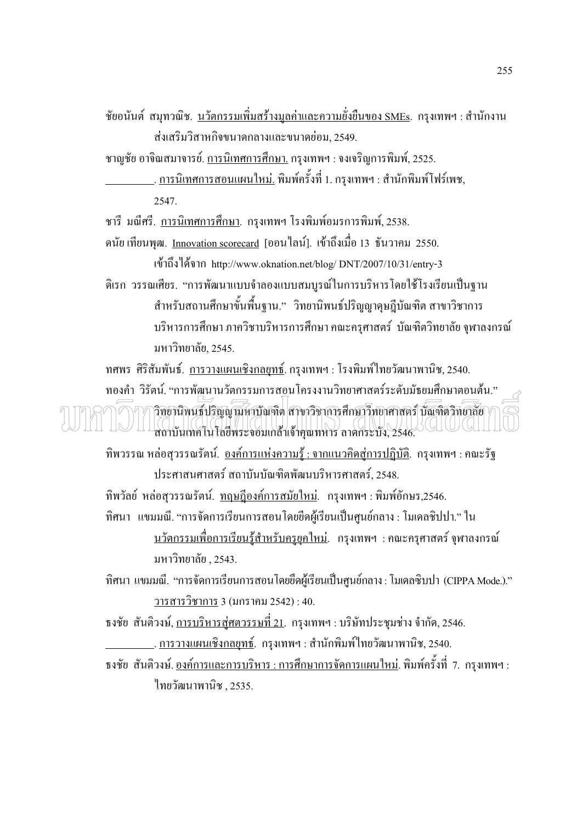ี ชัยอนันต์ สมุทวณิช. <u>นวัตกรรมเพิ่มสร้างมูลค่าและความยั่งยืนของ SMEs</u>. กรุงเทพฯ : สำนักงาน ส่งเสริมวิสาหกิจขนาดกลางและขนาดย่อม. 2549.

ชาญชัย อาจิณสมาจารย์. <u>การนิเทศการศึกษา.</u> กรุงเทพฯ : จงเจริญการพิมพ์, 2525.

<u>. การนิเทศการสอนแผนใหม่.</u> พิมพ์ครั้งที่ 1. กรุงเทพฯ : สำนักพิมพ์โฟร์เพช, 2547

ี ชารี มณีศรี. <u>การนิเทศการศึกษา</u>. กรุงเทพฯ โรงพิมพ์อมรการพิมพ์, 2538.

ดนัย เทียนพุฒ. <u>Innovation scorecard</u> [ออน<sup>"</sup>ไลน์]. เข้าถึงเมื่อ 13 ธันวาคม 2550.

เข้าถึงได้จาก http://www.oknation.net/blog/DNT/2007/10/31/entry-3 ดิเรก วรรณเศียร. "การพัฒนาแบบจำลองแบบสมบูรณ์ในการบริหารโดยใช้โรงเรียนเป็นฐาน สำหรับสถานศึกษาขั้นพื้นฐาน." วิทยานิพนธ์ปริญญาดุษฎีบัณฑิต สาขาวิชาการ ิบริหารการศึกษา ภาควิชาบริหารการศึกษา คณะครศาสตร์ บัณฑิตวิทยาลัย จฬาลงกรณ์ มหาวิทยาลัย, 2545.

ทศพร ศิริสัมพันธ์. การวางแผนเชิงกลยุทธ์. กรุงเทพฯ : โรงพิมพ์ใทยวัฒนาพานิช, 2540.

ทองคำ วิรัตน์. "การพัฒนานวัตกรรมการสอนโครงงานวิทยาศาสตร์ระดับมัธยมศึกษาตอนต้น." วิทยานิพนธ์ปริญญามหาบัณฑิต สาขาวิชาการศึกษาวิทยาศาสตร์ บัณฑิตวิทยาลัย) สถาบันเทคโนโลยีพระจอมเกล้าเจ้าคุณทหาร ลาดกระบัง, 2546.

ี ทิพวรรณ หล่อสวรรณรัตน์, องค์การแห่งความร้ : จากแนวคิดส่การปฏิบัติ, กรุงเทพฯ : คณะรัฐ ประศาสนศาสตร์ สถาบันบัณฑิตพัฒนบริหารศาสตร์. 2548.

ทิพวัลย์ หล่อสุวรรณรัตน์. <u>ทฤษฎีองค์การสมัยใหม่</u>. กรุงเทพฯ : พิมพ์อักษร,2546.

ทิศนา แขมมณี. "การจัดการเรียนการสอนโดยยืดผู้เรียนเป็นศูนย์กลาง : โมเดลชิปปา." ใน <u>นวัตกรรมเพื่อการเรียนรู้สำหรับครูยุคใหม่</u>. กรุงเทพฯ :คณะครุศาสตร์ จุฬาลงกรณ์ มหาวิทยาลัย . 2543.

ทิศนา แขมมณี. "การจัดการเรียนการสอนโดยยึดผู้เรียนเป็นศูนย์กลาง : โมเดลซิบปา (CIPPA Mode.)." <u>วารสารวิชาการ</u> 3 (มกราคม 2542) : 40.

ึ ธงชัย สันติวงษ์, <u>การบริหารส่ศตวรรษที่ 21</u>. กรุงเทพฯ : บริษัทประชุมช่าง จำกัด, 2546.

<u>.</u>. <u>การวางแผนเชิงกลยุทธ์</u>. กรุงเทพฯ : สำนักพิมพ์ไทยวัฒนาพานิช, 2540.

้ธงชัย สันติวงษ์. <u>องค์การและการบริหาร : การศึกษาการจัดการแผนใหม่</u>. พิมพ์ครั้งที่ 7. กรุงเทพฯ : ไทยวัฒนาพานิช 2535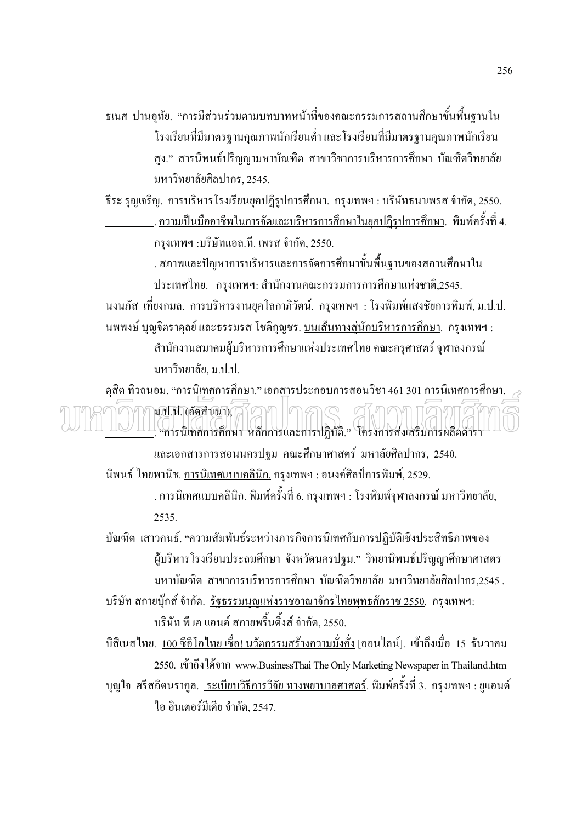ึธเนศ ปานอุทัย. "การมีส่วนร่วมตามบทบาทหน้าที่ของคณะกรรมการสถานศึกษาขั้นพื้นฐานใน โรงเรียนที่มีมาตรฐานคุณภาพนักเรียนต่ำ และโรงเรียนที่มีมาตรฐานคุณภาพนักเรียน สูง." สารนิพนธ์ปริญญามหาบัณฑิต สาขาวิชาการบริหารการศึกษา บัณฑิตวิทยาลัย มหาวิทยาลัยศิลปากร. 2545.

์ธีระ รุญเจริญ. <u>การบริหารโรงเรียนยคปฏิรปการศึกษา</u>. กรุงเทพฯ : บริษัทธนาเพรส จำกัด, 2550. . <u>ความเป็นมืออาชีพในการจัดและบริหารการศึกษาในยุคปฏิรูปการศึกษา</u>. พิมพ์ครั้งที่ 4.

กรุงเทพฯ :บริษัทแอล.ที. เพรส จำกัด, 2550.

<u>. สภาพและปัญหาการบริหารและการจัดการศึกษาขั้นพื้นฐานของสถานศึกษาใน</u>

ประเทศไทย. กรุงเทพฯ: สำนักงานคณะกรรมการการศึกษาแห่งชาติ,2545. ้นงนภัส เที่ยงกมล. การบริหารงานยุคโลกาภิวัตน์. กรุงเทพฯ : โรงพิมพ์แสงชัยการพิมพ์,ม.ป.ป. ินพพงษ์ บุญจิตราคุลย์ และธรรมรส โชติกุญชร. <u>บนเส้นทางส่นักบริหารการศึกษา</u>. กรุงเทพฯ : ้สำนักงานสมาคมผ้บริหารการศึกษาแห่งประเทศไทย คณะครศาสตร์ จฬาลงกรณ์

มหาวิทยาลัย. ม.ป.ป.

์ ดุสิต ทิวถนอม. "การนิเทศการศึกษา." เอกสารประกอบการสอนวิชา 461 301 การนิเทศการศึกษา. น.ป.ป. (อัคสำเนา) ( ~ ) ( ~ ) ( 

และเอกสารการสอนนครปฐม คณะศึกษาศาสตร์ มหาลัยศิลปากร, 2540. ้นิพนธ์ ไทยพานิช. <u>การนิเทศแบบคลินิก.</u> กรุงเทพฯ : อนงค์ศิลป์การพิมพ์, 2529.

<u>. การนิเทศแบบคลินิก.</u> พิมพ์ครั้งที่ 6. กรุงเทพฯ : โรงพิมพ์จุฬาลงกรณ์ มหาวิทยาลัย, 2535.

บัณฑิต เสาวคนธ์. "ความสัมพันธ์ระหว่างภารกิจการนิเทศกับการปฏิบัติเชิงประสิทธิภาพของ ผู้บริหารโรงเรียนประถมศึกษา จังหวัดนครปฐม." วิทยานิพนธ์ปริญญาศึกษาศาสตร ้มหาบัณฑิต สาขาการบริหารการศึกษา บัณฑิตวิทยาลัย มหาวิทยาลัยศิลปากร.2545 .

<u>บริษัท สกายบุ๊กส์ จำกัด. รัฐธรรมนูญแห่งราชอาณาจักรไทยพุทธศักราช 2550</u>. กรุงเทพฯ: บริษัท พี เค แอนด์ สกายพริ้นติ้งส์ จำกัด, 2550.

้บิสิเนสไทย. <u>100 ซีอีโอไทย เชื่อ! นวัตกรรมสร้างความมั่งคั่ง</u> [ออนไลน์]. เข้าถึงเมื่อ 15 ธันวาคม 2550. เข้าถึงได้จาก www.BusinessThai The Only Marketing Newspaper in Thailand.htm ี บุญใจ ศรีสถิตนรากูล. <u>ระเบียบวิธีการวิจัย ทางพยาบาลศาสตร์</u>. พิมพ์ครั้งที่ 3. กรุงเทพฯ : ยูแอนด์ ใก อินเตอร์มีเดีย จำกัด, 2547.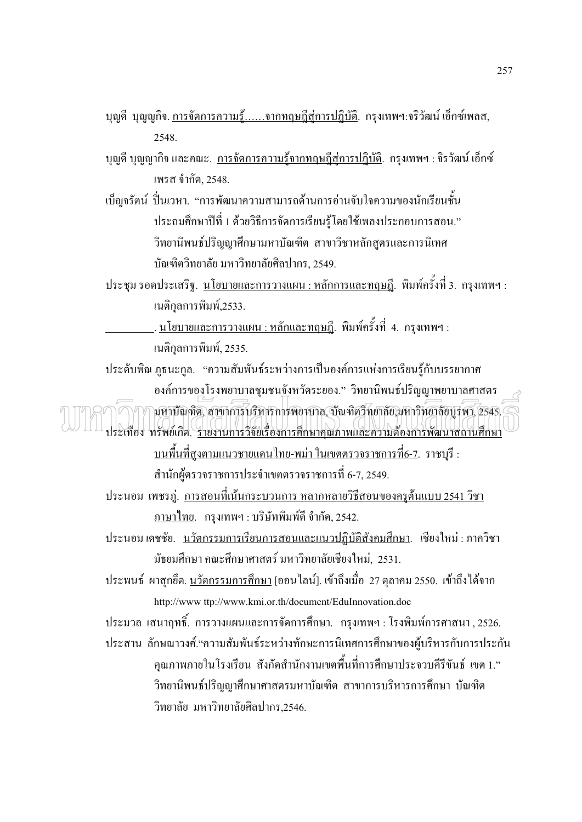- ิบุญคี บุญญกิจ. <u>การจัดการความรู้......จากทฤษฎีสู่การปฏิบัติ</u>. กรุงเทพฯ:จริวัฒน์ เอ็กซ์เพลส, 2548
- ี บุญดี บุญญากิจ และคณะ. <u>การจัดการความรู้จากทฤษฎีสู่การปฏิบัติ</u>. กรุงเทพฯ : จิรวัฒน์ เอ็กซ์ เพรส จำกัด, 2548.
- ้เบ็ญจรัตน์ ปิ่นเวหา. "การพัฒนาความสามารถด้านการอ่านจับใจความของนักเรียนชั้น ประถมศึกษาปีที่ 1 ด้วยวิธีการจัดการเรียนรู้โดยใช้เพลงประกอบการสอน." วิทยานิพนธ์ปริญญาศึกษามหาบัณฑิต สาขาวิชาหลักสตรและการนิเทศ าเัณฑิตวิทยาลัย มหาวิทยาลัยศิลปากร. 2549.
- <u> ประชุม รอดประเสริฐ. นโยบายและการวางแผน : หลักการและทฤษฎี</u>. พิมพ์ครั้งที่ 3. กรุงเทพฯ : เนติกลการพิมพ์.2533.
	- เนดิกลการพิมพ์, 2535.
- ประดับพิณ ภูธนะกูล. "ความสัมพันธ์ระหว่างการเป็นองค์การแห่งการเรียนรู้กับบรรยากาศ องค์การของโรงพยาบาลชมชนจังหวัดระยอง." วิทยานิพนธ์ปริญญาพยาบาลศาสตร
- ินหาบัณฑิต, สาขาการบริหารการพยาบาล, บัณฑิตวิทยาลัย,มหาวิทยาลัยบูรพา, 2545. $\leq$ ประเทือง ทรัพย์เกิด. รายงานการวิจัยเรื่องการศึกษาคณภาพและความต้องการพัฒนาสถานศึกษา
	- <u>็บนพื้นที่สงตามแนวชายแดนไทย-พม่า ในเขตตรวจราชการที่6-7</u>. ราชบุรี :
	- สำนักผู้ตรวจราชการประจำเขตตรวจราชการที่ 6-7, 2549.
	- ประนอม เพชรภู่. <u>การสอนที่เน้นกระบวนการ หลากหลายวิธีสอนของครูต้นแบบ 2541 วิชา</u> <u>ภาษาไทย</u>. กรุงเทพฯ : บริษัทพิมพ์ดี จำกัด, 2542.
	- ประนอม เคชชัย. นวัตกรรมการเรียนการสอนและแนวปฏิบัติสังคมศึกษา. เชียงใหม่ : ภาควิชา ้มัธยมศึกษา คณะศึกษาศาสตร์ มหาวิทยาลัยเชียงใหม่. 2531.
	- ประพนธ์ ผาสุกยึด. <u>นวัตกรรมการศึกษา</u> [ออนไลน์]. เข้าถึงเมื่อ 27 ตุลาคม 2550. เข้าถึงได้จาก http://www.ttp://www.kmi.or.th/document/EduInnovation.doc
	- ี ประมวล เสนาฤทธิ์. การวางแผนและการจัดการศึกษา. กรุงเทพฯ : โรงพิมพ์การศาสนา , 2526.
	- ประสาน ลักษณาวงศ์."ความสัมพันธ์ระหว่างทักษะการนิเทศการศึกษาของผู้บริหารกับการประกัน ี คุณภาพภายในโรงเรียน สังกัดสำนักงานเขตพื้นที่การศึกษาประจวบคีรีขันธ์ เขต 1." วิทยานิพนธ์ปริญญาศึกษาศาสตรมหาบัณฑิต สาขาการบริหารการศึกษา บัณฑิต วิทยาลัย มหาวิทยาลัยศิลปากร.2546.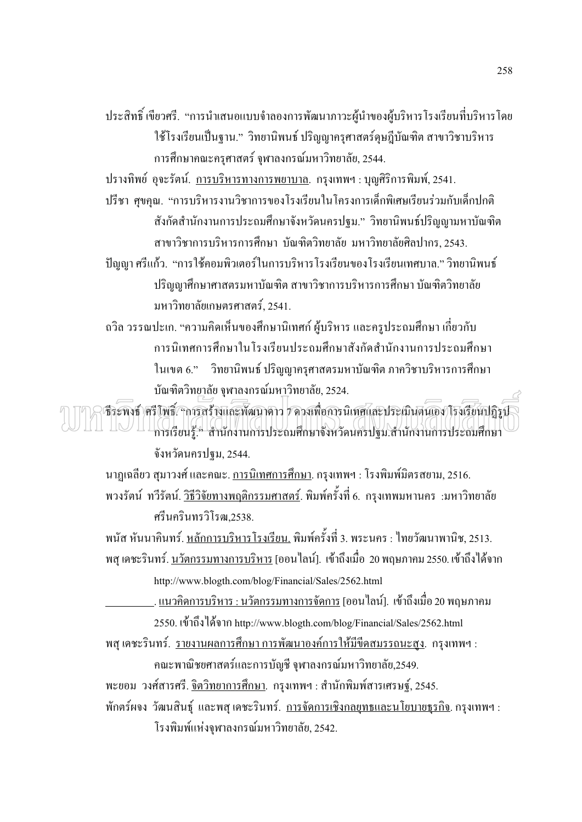ประสิทธิ์ เขียวศรี. "การนำเสนอแบบจำลองการพัฒนาภาวะผู้นำของผู้บริหารโรงเรียนที่บริหารโดย ใช้โรงเรียนเป็นฐาน." วิทยานิพนธ์ ปริญญาครุศาสตร์ดุษฎีบัณฑิต สาขาวิชาบริหาร ิการศึกษาคณะครุศาสตร์ จุฬาลงกรณ์มหาวิทยาลัย, 2544.

ปรางทิพย์ อุจะรัตน์. การบริหารทางการพยาบาล. กรุงเทพฯ : บุญศิริการพิมพ์, 2541.

- ปรีชา ศูขคุณ. "การบริหารงานวิชาการของโรงเรียนในโครงการเด็กพิเศษเรียนร่วมกับเด็กปกติ ้สังกัดสำนักงานการประถมศึกษาจังหวัดนครปฐม." วิทยานิพนธ์ปริญญามหาบัณฑิต สาขาวิชาการบริหารการศึกษา บัณฑิตวิทยาลัย มหาวิทยาลัยศิลปากร. 2543.
- ้ปัญญา ศรีแก้ว. "การใช้คอมพิวเตอร์ในการบริหารโรงเรียนของโรงเรียนเทศบาล." วิทยานิพนธ์ ปริญญาศึกษาศาสตรมหาบัณฑิต สาขาวิชาการบริหารการศึกษา บัณฑิตวิทยาลัย ุ่มหาวิทยาลัยเกษตรศาสตร์, 2541.
- ้ถวิล วรรณปะเก. "ความคิดเห็นของศึกษานิเทศก์ ผู้บริหาร และครูประถมศึกษา เกี่ยวกับ การนิเทศการศึกษาในโรงเรียนประถมศึกษาสังกัดสำนักงานการประถมศึกษา ในเขต 6." วิทยานิพนธ์ ปริญญาครุศาสตรมหาบัณฑิต ภาควิชาบริหารการศึกษา บัณฑิตวิทยาลัย จฬาลงกรณ์มหาวิทยาลัย, 2524.

(ธีระพงธ์ ศรีโพธิ์: "การสร้างและพัฒนาดาว 7 ความพื่อการนิเทศและประเมินตนเอง โรงเรียนปฏิรูป  $\left\| \ \right\|$   $\left\| \ \right\|$ การเรียนรู้." สำนักงานการประถมศึกษาจังหวัดนครปฐม.สำนักงานการประถมศึกษา จังหวัดนครปฐม, 2544.

ินาฏเฉลียว สุมาวงศ์ และคณะ. <u>การนิเทศการศึกษา</u>. กรุงเทพฯ : โรงพิมพ์มิตรสยาม, 2516. พวงรัตน์ ทวีรัตน์<u>. วิธีวิจัยทางพฤติกรรมศาสตร์</u>. พิมพ์ครั้งที่ 6. กรุงเทพมหานคร :มหาวิทยาลัย ศรีนครินทรวิโรฒ 2538

พนัส หันนาคินทร์. <u>หลักการบริหาร โรงเรียน.</u> พิมพ์ครั้งที่ 3. พระนคร : ไทยวัฒนาพานิช, 2513. ี พสุ เดชะรินทร์. <u>นวัตกรรมทางการบริหาร</u> [ออน"ไลน์]. เข้าถึงเมื่อ 20 พฤษภาคม 2550. เข้าถึง ได้จาก

http://www.blogth.com/blog/Financial/Sales/2562.html

<u>. . แนวคิดการบริหาร : นวัตกรรมทางการจัดการ</u> [ออน'ไลน์]. เข้าถึงเมื่อ 20 พฤษภาคม 2550. เข้าถึงได้จาก http://www.blogth.com/blog/Financial/Sales/2562.html

<u>พสุ เดชะรินทร์. รายงานผลการศึกษา การพัฒนาองค์การให้มีขีดสมรรถนะสง</u>. กรุงเทพฯ : ึคณะพาณิชยศาสตร์และการบัญชี จุฬาลงกรณ์มหาวิทยาลัย,2549.

พะยอม วงศ์สารศรี. <u>จิตวิทยาการศึกษา</u>. กรุงเทพฯ : สำนักพิมพ์สารเศรษฐ์, 2545.

ู พักตร์ผจง วัฒนสินธุ์ และพสุเดชะรินทร์. <u>การจัดการเชิงกลยุทธและนโยบายธุรกิจ</u>. กรุงเทพฯ : โรงพิมพ์แห่งจพาลงกรณ์มหาวิทยาลัย, 2542.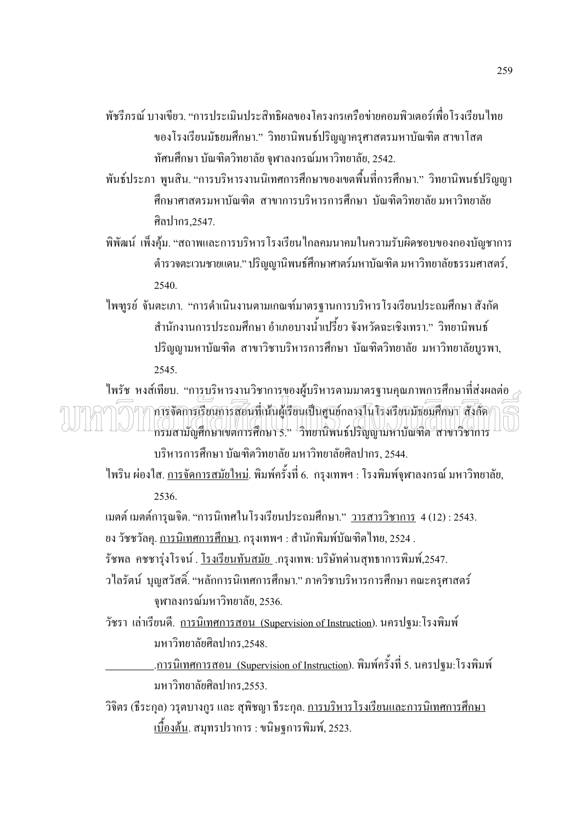- ้พัชรีภรณ์ บางเขียว "การประเบินประสิทธิผลของโครงกรเครือข่ายออมพิวเตอร์เพื่อโรงเรียนไทย ของโรงเรียนมัธยมศึกษา." วิทยานิพนธ์ปริญญาครุศาสตรมหาบัณฑิต สาขาโสต ทัศนศึกษา บัณฑิตวิทยาลัย จุฬาลงกรณ์มหาวิทยาลัย, 2542.
- ้พันธ์ประภา พุนสิน. "การบริหารงานนิเทศการศึกษาของเขตพื้นที่การศึกษา." วิทยานิพนธ์ปริญญา ์สึกนาศาสตรบหาบัญฑิต สาขาการบริหารการศึกนา บัญฑิตวิทยาลัย บหาวิทยาลัย ศิลปากร 2547
- ้พิพัฒน์ เพิ่งคุ้ม. "สถาพและการบริหารโรงเรียนใกลคมนาคมในความรับผิดชอบของกองบัญชาการ ้ตำรวจตะเวนชายแดน." ปริญญานิพนธ์ศึกษาศาตร์มหาบัณฑิต มหาวิทยาลัยธรรมศาสตร์, 2540.
- ใพฑูรย์ จันตะเภา. "การคำเนินงานตามเกณฑ์มาตรฐานการบริหารโรงเรียนประถมศึกษา สังกัด ้สำนักงานการประถมศึกษา อำเภอบางน้ำเปรี้ยว จังหวัดฉะเชิงเทรา." วิทยานิพนธ์ ปริญญามหาบัณฑิต สาขาวิชาบริหารการศึกษา บัณฑิตวิทยาลัย มหาวิทยาลัยบูรพา, 2545.

ไพรัช หงส์เทียบ. "การบริหารงานวิชาการของผ้บริหารตามมาตรฐานคณภาพการศึกษาที่ส่งผลต่อ  $\scriptstyle\mathcal{A}$ ิการจัดการเรียนการสอนที่เน้นผู้เรียนเป็นศูนย์กลางในโรงเรียนมัธยมศึกษา สังกัด/ กรมสามัญศึกษาเขตการศึกษา 5." วิทยานิพนธ์ปริญญามหาบัณฑิต สาขาวิชาการ บริหารการศึกษา บัณฑิตวิทยาลัย มหาวิทยาลัยศิลปากร, 2544.

ี ใพริน ผ่องใส. <u>การจัดการสมัยใหม่</u>. พิมพ์ครั้งที่ 6. กรุงเทพฯ : โรงพิมพ์จุฬาลงกรณ์ มหาวิทยาลัย, 2536

เมตต์ เมตต์การุณจิต. "การนิเทศในโรงเรียนประถมศึกษา." <u>วารสารวิชาการ</u> 4 (12): 2543. ียง วัชชวัลคุ. <u>การนิเทศการศึกษา</u>. กรุงเทพฯ : สำนักพิมพ์บัณฑิตไทย, 2524 .

รัชพล คชชารุ่งโรจน์ . <u>โรงเรียนทันสมัย</u> .กรุงเทพ: บริษัทค่านสุทธาการพิมพ์,2547.

- ้ว ใลรัตน์ บุญสวัสดิ์. "หลักการนิเทศการศึกษา." ภาควิชาบริหารการศึกษา คณะครุศาสตร์ จุฬาลงกรณ์มหาวิทยาลัย, 2536.
- วัชรา เล่าเรียนดี. <u>การนิเทศการสอน (Supervision of Instruction</u>). นครปฐม:โรงพิมพ์ มหาวิทยาลัยศิลปากร.2548.

<u>.การนิเทศการสอน (Supervision of Instruction</u>). พิมพ์ครั้งที่ 5. นครปฐม:โรงพิมพ์ มหาวิทยาลัยศิลปากร.2553.

้วิจิตร (ธีระกุล) วรุตบางกูร และ สุพิชญา ธีระกุล. <u>การบริหารโรงเรียนและการนิเทศการศึกษา</u> <u>เบื้องต้น</u>. สมุทรปราการ : ขนิษฐการพิมพ์, 2523.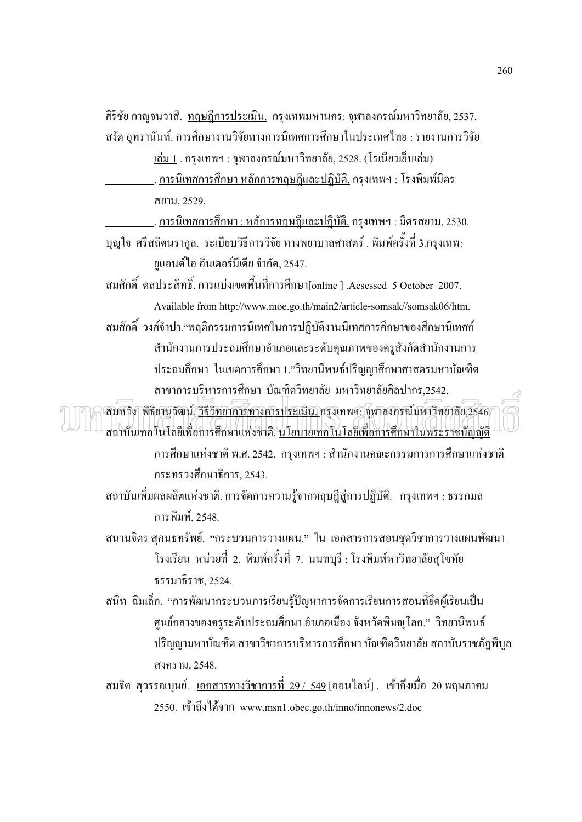์ศิริชัย กาญจนวาสี. <u>ทฤษฎีการประเมิน.</u> กรุงเทพมหานคร: จุฬาลงกรณ์มหาวิทยาลัย, 2537. ิสงัค อุทรานันท์. <u>การศึกษางานวิจัยทางการนิเทศการศึกษาในประเทศไทย : รายงานการวิจัย</u>

<u>เล่ม 1</u> . กรุงเทพฯ : จุฬาลงกรณ์มหาวิทยาลัย, 2528. (โรเนียวเย็บเล่ม)

<u>. การนิเทศการศึกษา หลักการทฤษฎีและปฎิบัติ.</u> กรุงเทพฯ : โรงพิมพ์มิตร สยาม. 2529.

<u>. การนิเทศการศึกษา : หลัการทฤษฎีและปฏิบัติ.</u> กรุงเทพฯ : มิตรสยาม, 2530.

ิบญใจ ศรีสถิตนรากล. ระเบียบวิธีการวิจัย ทางพยาบาลศาสตร์ . พิมพ์ครั้งที่ 3.กรงเทพ: ยูแอนด์ไอ อินเตอร์มีเดีย จำกัด, 2547.

ิสมศักดิ์ คลประสิทธิ์ การแบ่งเขตพื้นที่การศึกษา[online ] Acsessed 5 October 2007. Available from http://www.moe.go.th/main2/article-somsak//somsak06/htm.

สมศักดิ์ วงศ์จำปา."พฤติกรรมการนิเทศในการปฏิบัติงานนิเทศการศึกษาของศึกษานิเทศก์ สำนักงานการประถมศึกษาอำเภอและระดับคุณภาพของครูสังกัดสำนักงานการ ประถมศึกษา ในเขตการศึกษา 1."วิทยานิพนธ์ปริญญาศึกษาศาสตรมหาบัณฑิต สาขาการบริหารการศึกษา บัณฑิตวิทยาลัย มหาวิทยาลัยศิลปากร.2542.

ิสมหวัง พิธิยานุวัฒน์ <u>วิธีวิทยาการทางการประเมิน กรุ</u>งเทพฯ: จุฬาลงกรณ์มหาวิทยาลัย,2546/ สถาบันเทคโนโลยีเพื่อการศึกษาแห่งชาติ. นโยบายเทคโนโลยีเพื่อการศึกษาในพระราชบัญญัติ <u>ิการศึกษาแห่งชาติ พ.ศ. 2542</u>. กรุงเทพฯ : สำนักงานคณะกรรมการการศึกษาแห่งชาติ กระทรวงศึกษาธิการ, 2543.

ิ สถาบันเพิ่มผลผลิตแห่งชาติ. <u>การจัดการความร้งากทฤษฎีส่การปฏิบัติ</u>. กรุงเทพฯ : ธรรกมล ุการพิมพ์. 2548.

ิสนานจิตร สุคนธทรัพย์. "กระบวนการวางแผน." ใน <u>เอกสารการสอนชุดวิชาการวางแผนพัฒนา</u> <u>โรงเรียน หน่วยที่ 2</u>. พิมพ์ครั้งที่ 7. นนทบุรี : โรงพิมพ์หาวิทยาลัยสุโขทัย ธรรมาธิราช, 2524.

ิสนิท ฉิมเล็ก. "การพัฒนากระบวนการเรียนรู้ปัญหาการจัดการเรียนการสอนที่ยึดผู้เรียนเป็น ี ศูนย์กลางของครูระดับประถมศึกษา อำเภอเมือง จังหวัดพิษณุโลก." วิทยานิพนธ์ ปริญญามหาบัณฑิต สาขาวิชาการบริหารการศึกษา บัณฑิตวิทยาลัย สถาบันราชภัฎพิบูล สงคราม, 2548.

ิสมจิต สุวรรณบุษย์. <u>เอกสารทางวิชาการที่ 29 / 549</u> [ออนไลน์] . เข้าถึงเมื่อ 20 พฤษภาคม 2550. เข้าถึงได้จาก www.msn1.obec.go.th/inno/innonews/2.doc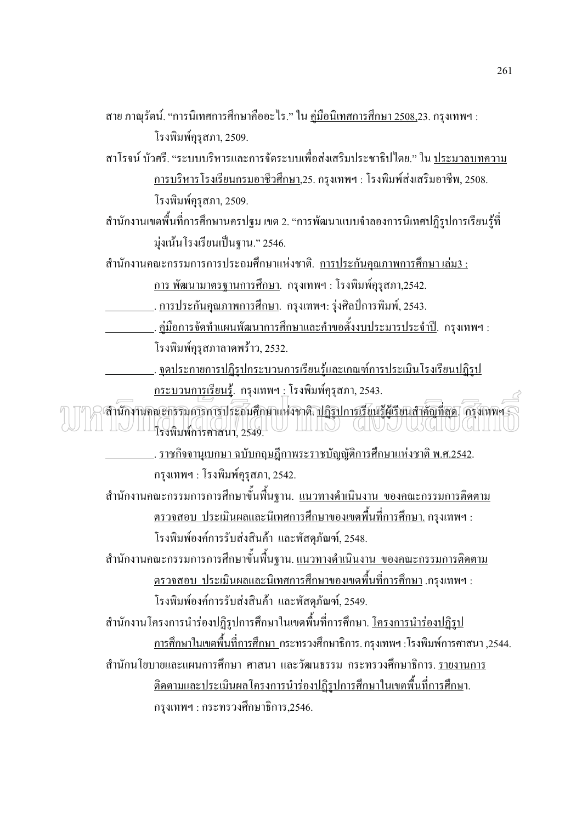ิสาย ภาณุรัตน์. "การนิเทศการศึกษาคืออะไร." ใน <u>คู่มือนิเทศการศึกษา 2508,</u>23. กรุงเทพฯ :

โรงพิมพ์คุรุสภา, 2509.

สาโรจน์ บัวศรี. "ระบบบริหารและการจัดระบบเพื่อส่งเสริมประชาธิปไตย." ใน ประมวลบทความ <u>การบริหารโรงเรียนกรมอาชีวศึกษา</u>,25. กรุงเทพฯ : โรงพิมพ์ส่งเสริมอาชีพ, 2508. โรงพิมพ์ครุสภา, 2509.

้สำนักงานเขตพื้นที่การศึกษานครปฐม เขต 2. "การพัฒนาแบบจำลองการนิเทศปฏิรูปการเรียนรู้ที่ มุ่งเน้นโรงเรียนเป็นฐาน." 2546.

ี่ สำนักงานคณะกรรมการการประถมศึกษาแห่งชาติ. การประกันคณภาพการศึกษา เล่ม3 :

<u>การ พัฒนามาตรฐานการศึกษา</u>. กรุงเทพฯ : โรงพิมพ์คุรุสภา,2542.

. การประกันคุณภาพการศึกษา. กรุงเทพฯ: รุ่งศิลป์การพิมพ์, 2543.

<u>. . คู่มือการจัดทำแผนพัฒนาการศึกษาและคำขอตั้งงบประมารประจำปี</u>. กรุงเทพฯ : โรงพิมพ์คุรุสภาลาดพร้าว, 2532.

... จุดประกายการปฏิรูปกระบวนการเรียนรู้และเกณฑ์การประเมินโรงเรียนปฏิรูป <u>กระบวนการเรียนร้</u>. กรุงเทพฯ : โรงพิมพ์คุรุสภา, 2543.

าสำนักงานคณะกรรมการการประถมศึกษาแห่งชาติ <u>ปฏิรูปการเรียนรู้ผู้เรียนสำคัญที่สุด</u>. กรุงเพพฯ : 

> <u>. ราชกิจจานเบกษา ฉบับกฤษฎีกาพระราชบัญญัติการศึกษาแห่งชาติ พ.ศ.2542.</u> กรุงเทพฯ : โรงพิมพ์คุรุสภา, 2542.

ี สำนักงานคณะกรรมการการศึกษาขั้นพื้นฐาน. <u>แนวทางดำเนินงาน ของคณะกรรมการติดตาม</u> <u>ี ตรวจสอบ ประเมินผลและนิเทศการศึกษาของเขตพื้นที่การศึกษา.</u> กรุงเทพฯ : โรงพิมพ์องค์การรับส่งสินค้า และพัสดุภัณฑ์, 2548.

ี สำนักงานคณะกรรมการการศึกษาขั้นพื้นฐาน. <u>แนวทางดำเนินงาน ของคณะกรรมการติดตาม</u> <u>ิตรวจสอบ ประเมินผลและนิเทศการศึกษาของเขตพื้นที่การศึกษา</u> .กรุงเทพฯ : โรงพิมพ์องค์การรับส่งสินค้า และพัสคุภัณฑ์, 2549.

ี สำนักงานโครงการนำร่องปฏิรูปการศึกษาในเขตพื้นที่การศึกษา. <u>โครงการนำร่องปฏิรูป</u> ิ การศึกษาในเขตพื้นที่การศึกษา กระทรวงศึกษาธิการ. กรุงเทพฯ :โรงพิมพ์การศาสนา ,2544. ้สำนักนโยบายและแผนการศึกษา ศาสนา และวัฒนธรรม กระทรวงศึกษาธิการ รายงานการ <u>ติดตามและประเมินผลโครงการนำร่องปฏิรปการศึกษาในเขตพื้นที่การศึกษ</u>า. กรุงเทพฯ : กระทรวงศึกษาธิการ,2546.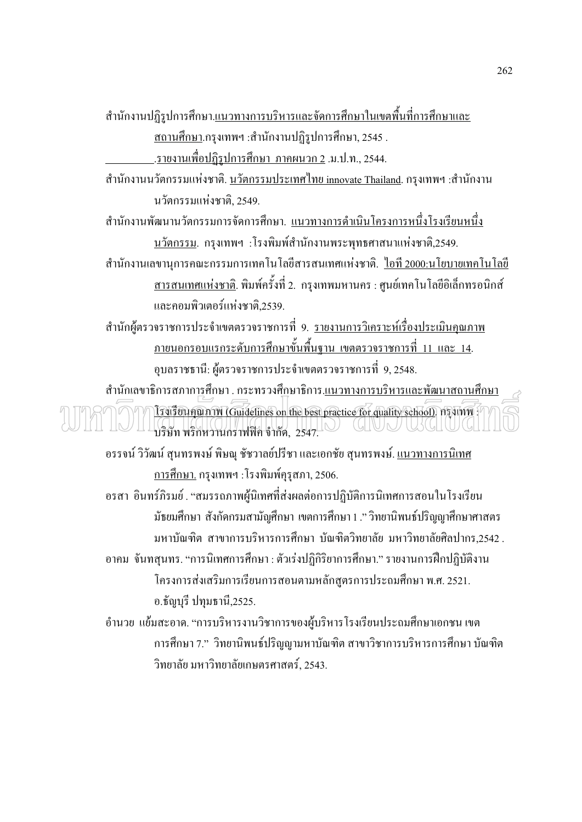ี สำนักงานปฏิรูปการศึกษา.<u>แนวทางการบริหารและจัดการศึกษาในเขตพื้นที่การศึกษาและ</u> ้<u>สถานศึกษา</u>.กรุงเทพฯ :สำนักงานปฏิรูปการศึกษา, 2545 .

<u>.รายงานเพื่อปฏิรูปการศึกษา ภาคผนวก 2</u> .ม.ป.ท., 2544.

ี สำนักงานนวัตกรรมแห่งชาติ. <u>นวัตกรรมประเทศไทย innovate Thailand</u>. กรุงเทพฯ :สำนักงาน บวัตกรรมแห่งหาติ 2549

ี สำนักงานพัฒนานวัตกรรมการจัดการศึกษา. <u>แนวทางการดำเนินโครงการหนึ่งโรงเรียนหนึ่ง</u> <u>นวัตกรรม</u>. กรุงเทพฯ :โรงพิมพ์สำนักงานพระพุทธศาสนาแห่งชาติ,2549.

ี สำนักงานเลขานุการคณะกรรมการเทคโนโลยีสารสนเทศแห่งชาติ. <u>ใอที่ 2000:นโยบายเทคโนโลยี</u> <u>ิสารสนเทศแห่งชาติ</u>. พิมพ์ครั้งที่ 2. กรุงเทพมหานคร : ศูนย์เทคโนโลยีอิเล็กทรอนิกส์ และคอบพิวเตอร์แห่งหาติ 2539

ี สำนักผู้ตรวจราชการประจำเขตตรวจราชการที่ 9. <u>รายงานการวิเคราะห์เรื่องประเมินคณภาพ</u> <u>ิภายนอกรอบแรกระดับการศึกษาขั้นพื้นฐาน เขตตรวจราชการที่ 11 และ 14.</u> ้อุบลราชธานี: ผู้ตรวจราชการประจำเขตตรวจราชการที่ 9,2548.

้สำนักเลขาธิการสภาการศึกษา . กระทรวงศึกษาธิการ.<u>แนวทางการบริหารและพัฒนาสถานศึกษา</u> <u>ITUL TULANTIN (Guidelines on the best practice for quality school)</u> hysinm บริษัท พริกหวานกราฟฟิค จำกัด, 2547. CHUNU USCHUG

้อรรจน์ วิวัฒน์ สุนทรพงษ์ พิษณุ ชัชวาลย์ปรีชา และเอกชัย สุนทรพงษ์. <u>แนวทางการนิเทศ</u> <u>การศึกษา.</u> กรุงเทพฯ : โรงพิมพ์คุรุสภา, 2506.

้อรสา อินทร์ภิรมย์ . "สมรรถภาพผู้นิเทศที่ส่งผลต่อการปฏิบัติการนิเทศการสอนในโรงเรียน ้มัธยมศึกษา สังกัดกรมสามัญศึกษา เขตการศึกษา 1 :" วิทยานิพนธ์ปริญญาศึกษาศาสตร ้มหาบัณฑิต สาขาการบริหารการศึกษา บัณฑิตวิทยาลัย มหาวิทยาลัยศิลปากร,2542 . ้อาคม จันทสุนทร. "การนิเทศการศึกษา : ตัวเร่งปฏิกิริยาการศึกษา." รายงานการฝึกปฏิบัติงาน โครงการส่งเสริมการเรียนการสอนตามหลักสูตรการประถมศึกษา พ.ศ. 2521. อ.ธัญบุรี ปทุมธานี,2525.

้อำนวย แย้มสะอาค. "การบริหารงานวิชาการของผู้บริหารโรงเรียนประถมศึกษาเอกชน เขต ึการศึกษา 7." วิทยานิพนธ์ปริญญามหาบัณฑิต สาขาวิชาการบริหารการศึกษา บัณฑิต วิทยาลัย มหาวิทยาลัยเกษตรศาสตร์. 2543.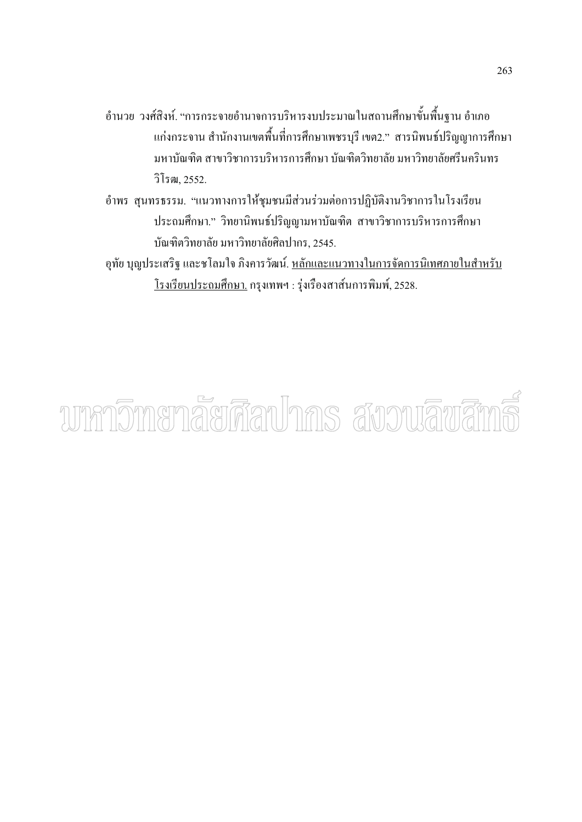- ้อำนวย วงศ์สิงห์. "การกระจายอำนาจการบริหารงบประมาณในสถานศึกษาขั้นพื้นฐาน อำเภอ แก่งกระจาน สำนักงานเขตพื้นที่การศึกษาเพชรบุรี เขต2." สารนิพนธ์ปริญญาการศึกษา มหาบัณฑิต สาขาวิชาการบริหารการศึกษา บัณฑิตวิทยาลัย มหาวิทยาลัยศรีนครินทร วิโรฒ. 2552.
- ้อำพร สุนทรธรรม. "แนวทางการให้ชุมชนมีส่วนร่วมต่อการปฏิบัติงานวิชาการในโรงเรียน ประถมศึกษา." วิทยานิพนธ์ปริญญามหาบัณฑิต สาขาวิชาการบริหารการศึกษา บัณฑิตวิทยาลัย มหาวิทยาลัยศิลปากร. 2545.
- อุทัย บุญประเสริฐ และชโลมใจ ภิงคารวัฒน์. <u>หลักและแนวทางในการจัดการนิเทศภายในสำหรับ</u> <u>โรงเรียนประถมศึกษา.</u> กรุงเทพฯ : รุ่งเรืองสาส์นการพิมพ์, 2528.

# ามากาวิทายาลัยศิลปากร สังวนลิขสิท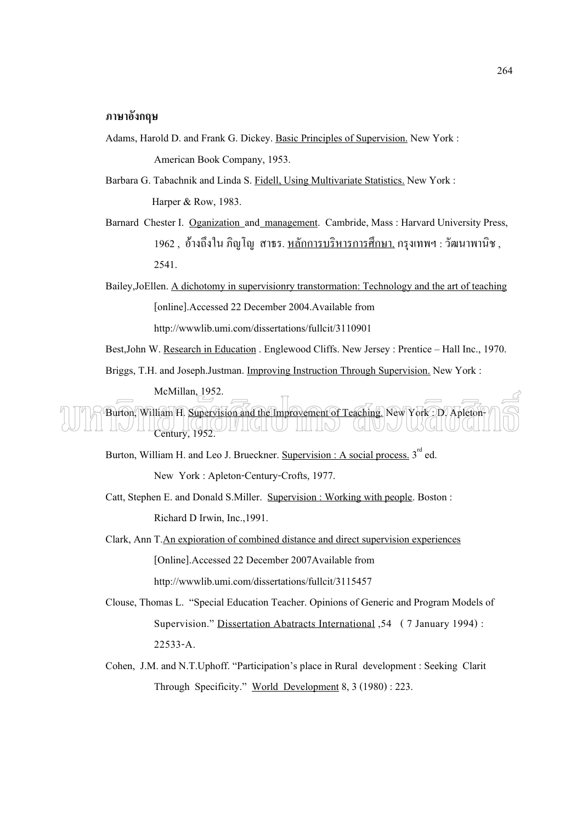#### **\*:**

- Adams, Harold D. and Frank G. Dickey. Basic Principles of Supervision. New York : American Book Company, 1953.
- Barbara G. Tabachnik and Linda S. Fidell, Using Multivariate Statistics. New York : Harper & Row, 1983.
- Barnard Chester I. Oganization and management. Cambride, Mass : Harvard University Press, 1962 , อ้างถึงใน ภิญโญ สาธร. <u>หลักการบริหารการศึกษา.</u> กรุงเทพฯ : วัฒนาพานิช , 2541.
- Bailey,JoEllen. A dichotomy in supervisionry transtormation: Technology and the art of teaching [online].Accessed 22 December 2004.Available from http://wwwlib.umi.com/dissertations/fullcit/3110901
- Best,John W. Research in Education . Englewood Cliffs. New Jersey : Prentice Hall Inc., 1970.

Briggs, T.H. and Joseph.Justman. Improving Instruction Through Supervision. New York :

McMillan, 1952.

Burton, William H. Supervision and the Improvement of Teaching. New York : D. Apleton-  $\underline{\mathbb{N}}$   $\underline{\mathbb{N}}$   $\underline{\mathbb{N}}$   $\underline{\mathbb{N}}$   $\underline{\mathbb{N}}$   $\underline{\mathbb{N}}$   $\underline{\mathbb{N}}$   $\underline{\mathbb{N}}$   $\underline{\mathbb{N}}$   $\underline{\mathbb{N}}$   $\underline{\mathbb{N}}$   $\underline{\mathbb{N}}$   $\underline{\mathbb{N}}$   $\underline{\mathbb{N}}$   $\underline{\mathbb{N}}$   $\underline{\mathbb{N}}$   $\underline{\mathbb{N}}$   $\underline{\mathbb{N}}$   $\underline{\$ **UIVU** 

Burton, William H. and Leo J. Brueckner. Supervision : A social process.  $3^{rd}$  ed.

New York : Apleton-Century-Crofts, 1977.

- Catt, Stephen E. and Donald S.Miller. Supervision : Working with people. Boston : Richard D Irwin, Inc.,1991.
- Clark, Ann T.An expioration of combined distance and direct supervision experiences [Online].Accessed 22 December 2007Available from http://wwwlib.umi.com/dissertations/fullcit/3115457
- Clouse, Thomas L. "Special Education Teacher. Opinions of Generic and Program Models of Supervision." Dissertation Abatracts International ,54 ( 7 January 1994) : 22533-A.
- Cohen, J.M. and N.T.Uphoff. "Participation's place in Rural development : Seeking Clarit Through Specificity." World Development 8, 3 (1980) : 223.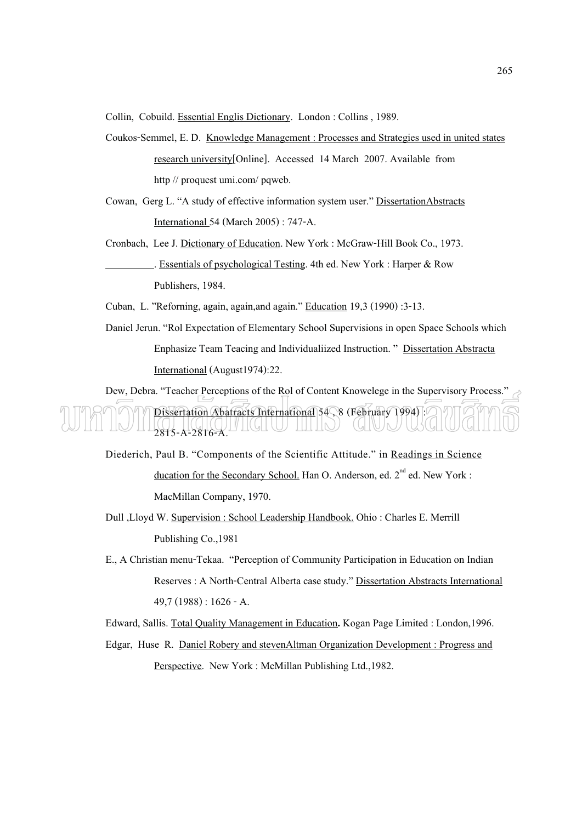Collin, Cobuild. Essential Englis Dictionary. London : Collins , 1989.

- Coukos-Semmel, E. D. Knowledge Management : Processes and Strategies used in united states research university[Online]. Accessed 14 March 2007. Available from http // proquest umi.com/ pqweb.
- Cowan, Gerg L. "A study of effective information system user." DissertationAbstracts International 54 (March 2005) : 747-A.
- Cronbach, Lee J. Dictionary of Education. New York : McGraw-Hill Book Co., 1973. . Essentials of psychological Testing. 4th ed. New York : Harper & Row Publishers, 1984.
- Cuban, L. "Reforning, again, again,and again." Education 19,3 (1990) :3-13.
- Daniel Jerun. "Rol Expectation of Elementary School Supervisions in open Space Schools which Enphasize Team Teacing and Individualiized Instruction. " Dissertation Abstracta International (August1974):22.

Dew, Debra. "Teacher Perceptions of the Rol of Content Knowelege in the Supervisory Process." Dissertation Abatracts International 54 , 8 (February 1994) : 2815-A-2816-A. VIIIII III III

- Diederich, Paul B. "Components of the Scientific Attitude." in Readings in Science ducation for the Secondary School. Han O. Anderson, ed. 2<sup>nd</sup> ed. New York : MacMillan Company, 1970.
- Dull ,Lloyd W. Supervision : School Leadership Handbook. Ohio : Charles E. Merrill Publishing Co.,1981
- E., A Christian menu-Tekaa. "Perception of Community Participation in Education on Indian Reserves : A North-Central Alberta case study." Dissertation Abstracts International 49,7 (1988) : 1626 - A.

Edward, Sallis. Total Quality Management in Education**.** Kogan Page Limited : London,1996. Edgar, Huse R. Daniel Robery and stevenAltman Organization Development : Progress and

Perspective. New York : McMillan Publishing Ltd.,1982.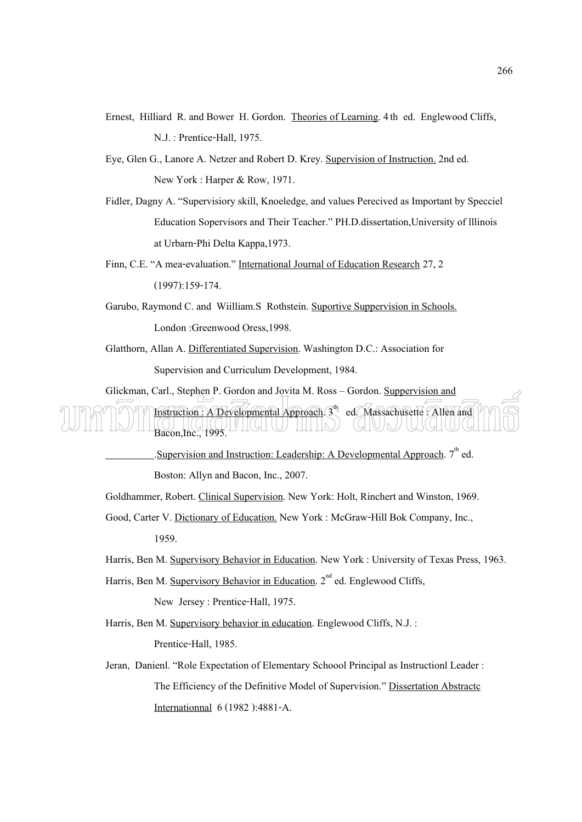- Ernest, Hilliard R. and Bower H. Gordon. Theories of Learning. 4th ed. Englewood Cliffs, N.J. : Prentice-Hall, 1975.
- Eye, Glen G., Lanore A. Netzer and Robert D. Krey. Supervision of Instruction. 2nd ed. New York : Harper & Row, 1971.
- Fidler, Dagny A. "Supervisiory skill, Knoeledge, and values Perecived as Important by Specciel Education Sopervisors and Their Teacher." PH.D.dissertation,University of lllinois at Urbarn-Phi Delta Kappa,1973.
- Finn, C.E. "A mea-evaluation." International Journal of Education Research 27, 2 (1997):159-174.
- Garubo, Raymond C. and Wiilliam.S Rothstein. Suportive Suppervision in Schools. London :Greenwood Oress,1998.
- Glatthorn, Allan A. Differentiated Supervision. Washington D.C.: Association for Supervision and Curriculum Development, 1984.

Glickman, Carl., Stephen P. Gordon and Jovita M. Ross – Gordon. Suppervision and

## Instruction : A Developmental Approach.  $3<sup>th</sup>$  ed. Massachusette : Allen and  $Bacon, Inc., 1995.$

.Supervision and Instruction: Leadership: A Developmental Approach. 7<sup>th</sup> ed. Boston: Allyn and Bacon, Inc., 2007.

- Goldhammer, Robert. Clinical Supervision. New York: Holt, Rinchert and Winston, 1969.
- Good, Carter V. Dictionary of Education. New York : McGraw-Hill Bok Company, Inc., 1959.
- Harris, Ben M. Supervisory Behavior in Education. New York : University of Texas Press, 1963.
- Harris, Ben M. Supervisory Behavior in Education. 2<sup>nd</sup> ed. Englewood Cliffs,

New Jersey : Prentice-Hall, 1975.

Harris, Ben M. Supervisory behavior in education. Englewood Cliffs, N.J. :

Prentice-Hall, 1985.

Jeran, Danienl. "Role Expectation of Elementary Schoool Principal as Instructionl Leader : The Efficiency of the Definitive Model of Supervision." Dissertation Abstractc Internationnal 6 (1982 ):4881-A.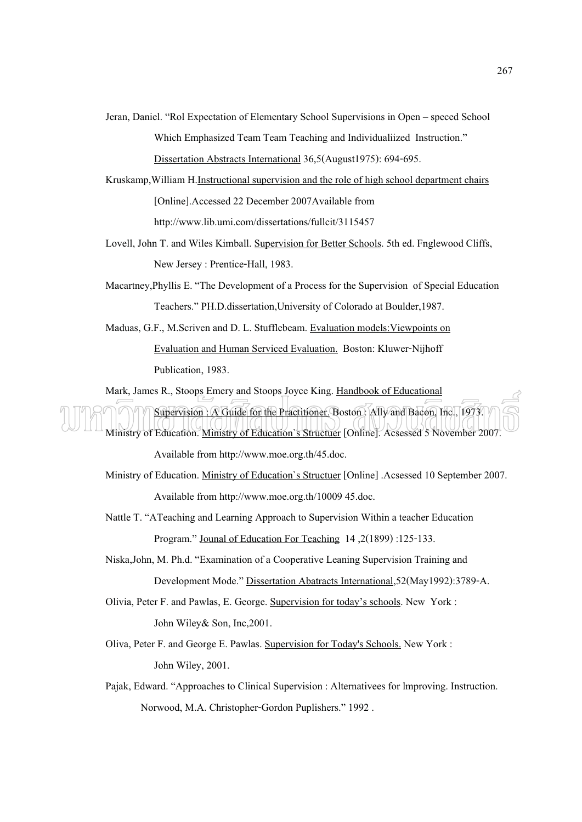- Jeran, Daniel. "Rol Expectation of Elementary School Supervisions in Open speced School Which Emphasized Team Team Teaching and Individualiized Instruction." Dissertation Abstracts International 36,5(August1975): 694-695.
- Kruskamp,William H.Instructional supervision and the role of high school department chairs [Online].Accessed 22 December 2007Available from http://www.lib.umi.com/dissertations/fullcit/3115457
- Lovell, John T. and Wiles Kimball. Supervision for Better Schools. 5th ed. Fnglewood Cliffs, New Jersey : Prentice-Hall, 1983.
- Macartney,Phyllis E. "The Development of a Process for the Supervision of Special Education Teachers." PH.D.dissertation,University of Colorado at Boulder,1987.
- Maduas, G.F., M.Scriven and D. L. Stufflebeam. Evaluation models:Viewpoints on Evaluation and Human Serviced Evaluation. Boston: Kluwer-Nijhoff Publication, 1983.

Mark, James R., Stoops Emery and Stoops Joyce King. Handbook of Educational Supervision : A Guide for the Practitioner. Boston : Ally and Bacon, Inc., 1973. Ministry of Education. Ministry of Education`s Structuer [Online]. Acsessed 5 November 2007.

Available from http://www.moe.org.th/45.doc.

- Ministry of Education. Ministry of Education`s Structuer [Online] .Acsessed 10 September 2007. Available from http://www.moe.org.th/10009 45.doc.
- Nattle T. "ATeaching and Learning Approach to Supervision Within a teacher Education Program." Jounal of Education For Teaching 14 ,2(1899) :125-133.
- Niska,John, M. Ph.d. "Examination of a Cooperative Leaning Supervision Training and Development Mode." Dissertation Abatracts International,52(May1992):3789-A.
- Olivia, Peter F. and Pawlas, E. George. Supervision for today's schools. New York : John Wiley& Son, Inc,2001.
- Oliva, Peter F. and George E. Pawlas. Supervision for Today's Schools. New York : John Wiley, 2001.
- Pajak, Edward. "Approaches to Clinical Supervision : Alternativees for lmproving. Instruction. Norwood, M.A. Christopher-Gordon Puplishers." 1992 .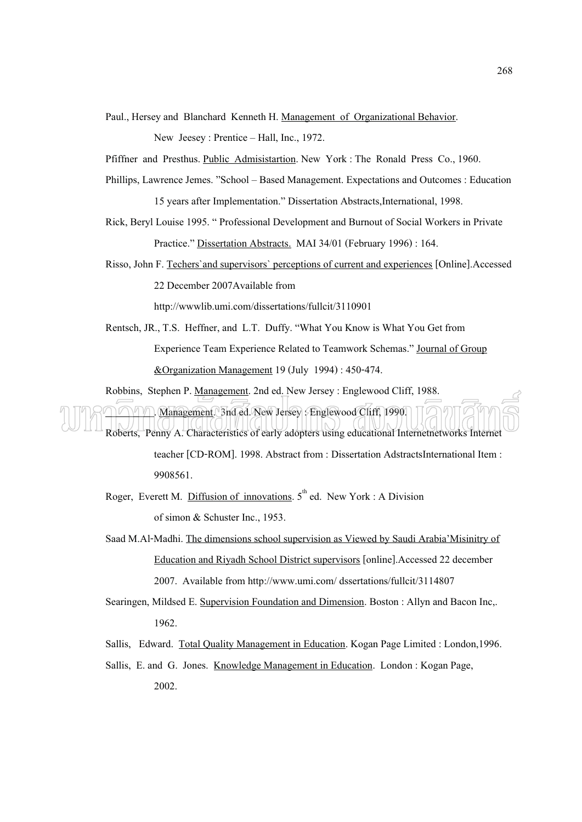Paul., Hersey and Blanchard Kenneth H. Management of Organizational Behavior.

New Jeesey: Prentice – Hall, Inc., 1972.

Pfiffner and Presthus. Public Admisistartion. New York : The Ronald Press Co., 1960.

- Phillips, Lawrence Jemes. "School Based Management. Expectations and Outcomes : Education 15 years after Implementation." Dissertation Abstracts,International, 1998.
- Rick, Beryl Louise 1995. " Professional Development and Burnout of Social Workers in Private Practice." Dissertation Abstracts. MAI 34/01 (February 1996) : 164.
- Risso, John F. Techers`and supervisors` perceptions of current and experiences [Online].Accessed 22 December 2007Available from

http://wwwlib.umi.com/dissertations/fullcit/3110901

Rentsch, JR., T.S. Heffner, and L.T. Duffy. "What You Know is What You Get from Experience Team Experience Related to Teamwork Schemas." Journal of Group &Organization Management 19 (July 1994) : 450-474.

Robbins, Stephen P. Management. 2nd ed. New Jersey : Englewood Cliff, 1988.

. Management. 3nd ed. New Jersey : Englewood Cliff, 1990. Roberts, Penny A. Characteristics of early adopters using educational Internetnetworks Internet

> teacher [CD-ROM]. 1998. Abstract from : Dissertation AdstractsInternational Item : 9908561.

- Roger, Everett M. Diffusion of innovations.  $5<sup>th</sup>$  ed. New York : A Division of simon & Schuster Inc., 1953.
- Saad M.Al-Madhi. The dimensions school supervision as Viewed by Saudi Arabia'Misinitry of Education and Riyadh School District supervisors [online].Accessed 22 december 2007. Available from http://www.umi.com/ dssertations/fullcit/3114807
- Searingen, Mildsed E. Supervision Foundation and Dimension. Boston : Allyn and Bacon Inc,. 1962.
- Sallis, Edward. Total Quality Management in Education. Kogan Page Limited : London,1996.
- Sallis, E. and G. Jones. Knowledge Management in Education. London : Kogan Page, 2002.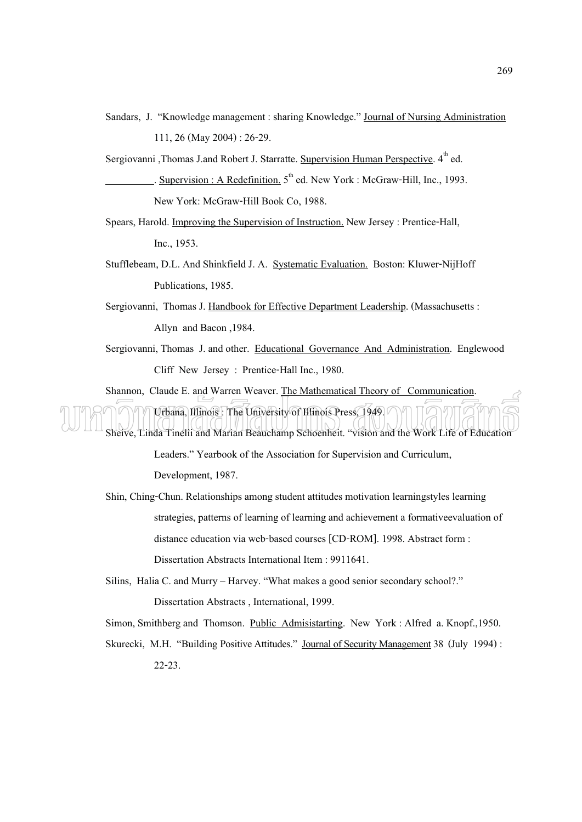Sandars, J. "Knowledge management : sharing Knowledge." Journal of Nursing Administration 111, 26 (May 2004) : 26-29.

Sergiovanni ,Thomas J.and Robert J. Starratte. Supervision Human Perspective. 4<sup>th</sup> ed. Supervision : A Redefinition.  $5<sup>th</sup>$  ed. New York : McGraw-Hill, Inc., 1993. New York: McGraw-Hill Book Co, 1988.

- Spears, Harold. Improving the Supervision of Instruction. New Jersey : Prentice-Hall, Inc., 1953.
- Stufflebeam, D.L. And Shinkfield J. A. Systematic Evaluation. Boston: Kluwer-NijHoff Publications, 1985.
- Sergiovanni, Thomas J. Handbook for Effective Department Leadership. (Massachusetts : Allyn and Bacon ,1984.
- Sergiovanni, Thomas J. and other. Educational Governance And Administration. Englewood Cliff New Jersey : Prentice-Hall Inc., 1980.

Shannon, Claude E. and Warren Weaver. The Mathematical Theory of Communication. Urbana, Illinois : The University of Illinois Press, 1949. Sheive, Linda Tinelii and Marian Beauchamp Schoenheit. "vision and the Work Life of Education

> Leaders." Yearbook of the Association for Supervision and Curriculum, Development, 1987.

Shin, Ching-Chun. Relationships among student attitudes motivation learningstyles learning strategies, patterns of learning of learning and achievement a formativeevaluation of distance education via web-based courses [CD-ROM]. 1998. Abstract form : Dissertation Abstracts International Item : 9911641.

Silins, Halia C. and Murry – Harvey. "What makes a good senior secondary school?." Dissertation Abstracts , International, 1999.

Simon, Smithberg and Thomson. Public Admisistarting. New York : Alfred a. Knopf.,1950.

Skurecki, M.H. "Building Positive Attitudes." Journal of Security Management 38 (July 1994) : 22-23.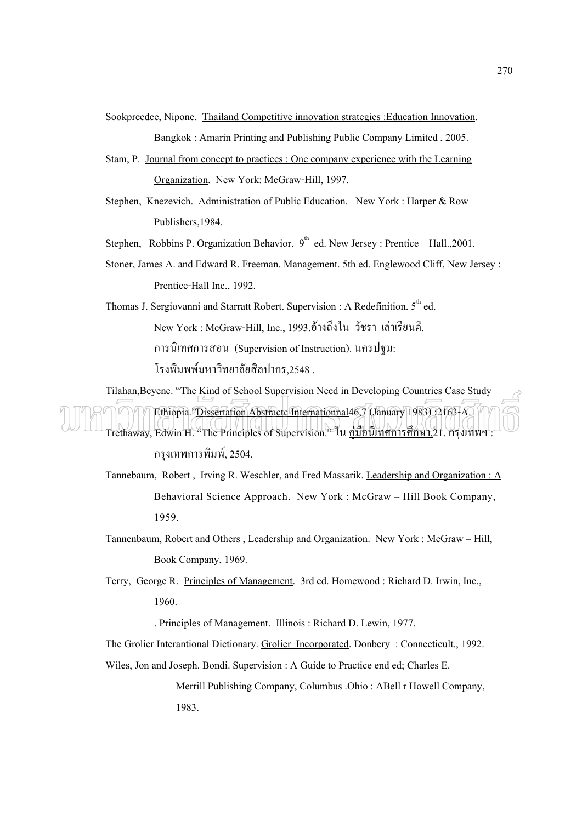Sookpreedee, Nipone. Thailand Competitive innovation strategies :Education Innovation. Bangkok : Amarin Printing and Publishing Public Company Limited , 2005.

- Stam, P. Journal from concept to practices : One company experience with the Learning Organization. New York: McGraw-Hill, 1997.
- Stephen, Knezevich. Administration of Public Education. New York : Harper & Row Publishers,1984.
- Stephen, Robbins P. Organization Behavior.  $9^{th}$  ed. New Jersey : Prentice Hall., 2001.
- Stoner, James A. and Edward R. Freeman. Management. 5th ed. Englewood Cliff, New Jersey : Prentice-Hall Inc., 1992.

Thomas J. Sergiovanni and Starratt Robert. Supervision : A Redefinition. 5<sup>th</sup> ed. New York : McGraw-Hill, Inc., 1993.อ้างถึงใน วัชรา เล่าเรียนดี. <u>การนิเทศการสอน (Supervision of Instruction</u>). นครปฐม: โรงพิมพพ์มหาวิทยาลัยสิลปากร,2548 .

Tilahan,Beyenc. "The Kind of School Supervision Need in Developing Countries Case Study Ethiopia."Dissertation Abstractc Internationnal46,7 (January 1983) :2163-A. Trethaway, Edwin H. "The Principles of Supervision." ใน คู่มือนิเทศการศึกษา 21. กรุงเทพฯ: กรุงเทพการพิมพ์, 2504.

- Tannebaum, Robert , Irving R. Weschler, and Fred Massarik. Leadership and Organization : A Behavioral Science Approach. New York : McGraw – Hill Book Company, 1959.
- Tannenbaum, Robert and Others , Leadership and Organization. New York : McGraw Hill, Book Company, 1969.

Terry, George R. Principles of Management. 3rd ed. Homewood : Richard D. Irwin, Inc., 1960.

. Principles of Management. Illinois : Richard D. Lewin, 1977.

The Grolier Interantional Dictionary. Grolier Incorporated. Donbery : Connecticult., 1992. Wiles, Jon and Joseph. Bondi. Supervision : A Guide to Practice end ed; Charles E.

> Merrill Publishing Company, Columbus .Ohio : ABell r Howell Company, 1983.